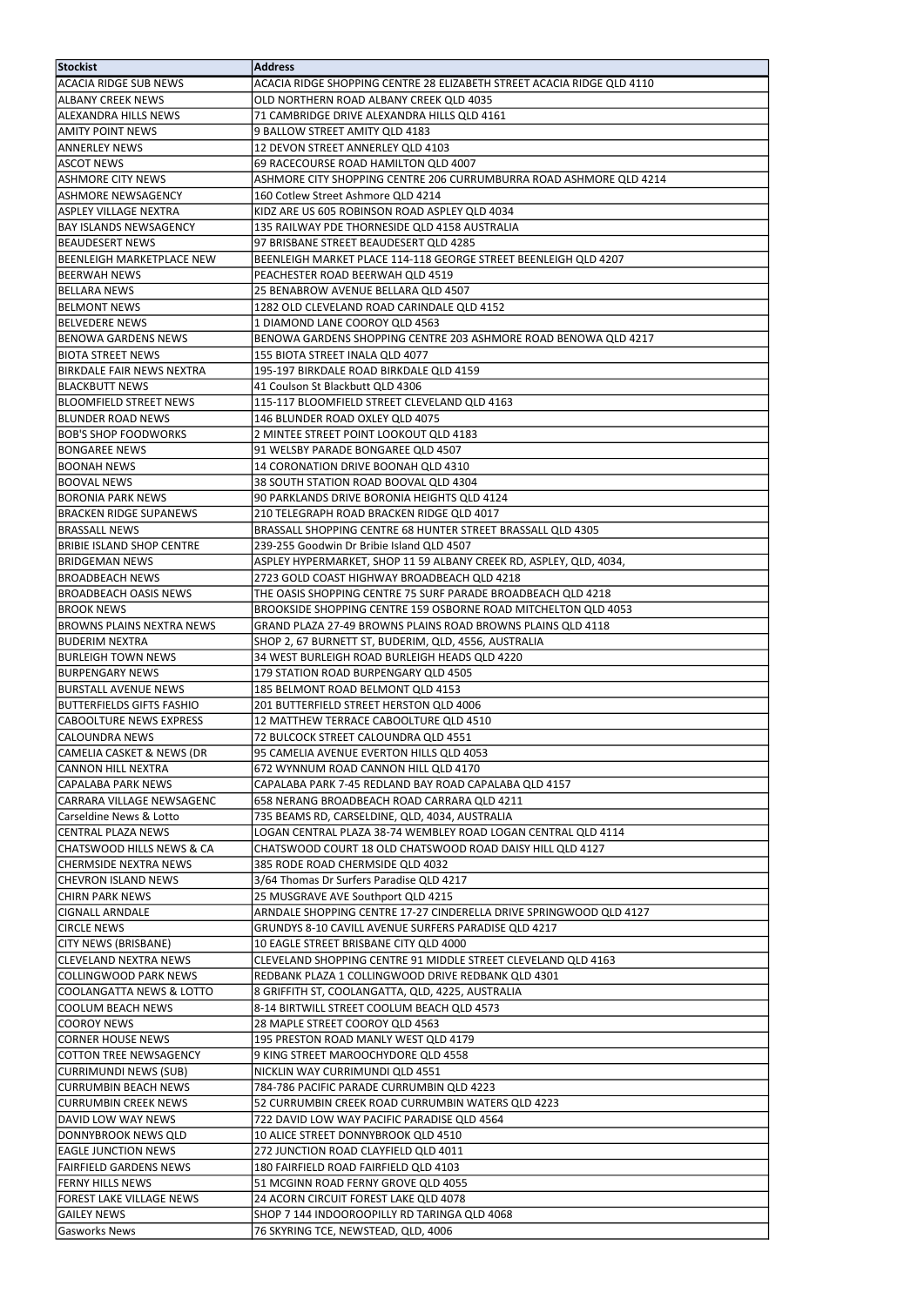| Stockist                                 | <b>Address</b>                                                                                                    |
|------------------------------------------|-------------------------------------------------------------------------------------------------------------------|
| <b>ACACIA RIDGE SUB NEWS</b>             | ACACIA RIDGE SHOPPING CENTRE 28 ELIZABETH STREET ACACIA RIDGE QLD 4110                                            |
| <b>ALBANY CREEK NEWS</b>                 | OLD NORTHERN ROAD ALBANY CREEK QLD 4035                                                                           |
| <b>ALEXANDRA HILLS NEWS</b>              | 71 CAMBRIDGE DRIVE ALEXANDRA HILLS QLD 4161                                                                       |
| <b>AMITY POINT NEWS</b>                  | 9 BALLOW STREET AMITY QLD 4183                                                                                    |
| <b>ANNERLEY NEWS</b>                     | 12 DEVON STREET ANNERLEY QLD 4103                                                                                 |
| <b>ASCOT NEWS</b>                        | 69 RACECOURSE ROAD HAMILTON QLD 4007                                                                              |
| <b>ASHMORE CITY NEWS</b>                 | ASHMORE CITY SHOPPING CENTRE 206 CURRUMBURRA ROAD ASHMORE QLD 4214                                                |
| <b>ASHMORE NEWSAGENCY</b>                | 160 Cotlew Street Ashmore QLD 4214                                                                                |
| <b>ASPLEY VILLAGE NEXTRA</b>             | KIDZ ARE US 605 ROBINSON ROAD ASPLEY QLD 4034                                                                     |
| <b>BAY ISLANDS NEWSAGENCY</b>            | 135 RAILWAY PDE THORNESIDE QLD 4158 AUSTRALIA                                                                     |
| <b>BEAUDESERT NEWS</b>                   | 97 BRISBANE STREET BEAUDESERT QLD 4285                                                                            |
| <b>BEENLEIGH MARKETPLACE NEW</b>         | BEENLEIGH MARKET PLACE 114-118 GEORGE STREET BEENLEIGH QLD 4207                                                   |
| BEERWAH NEWS                             | PEACHESTER ROAD BEERWAH QLD 4519                                                                                  |
| <b>BELLARA NEWS</b>                      | 25 BENABROW AVENUE BELLARA QLD 4507                                                                               |
| <b>BELMONT NEWS</b>                      | 1282 OLD CLEVELAND ROAD CARINDALE QLD 4152                                                                        |
| <b>BELVEDERE NEWS</b>                    | 1 DIAMOND LANE COOROY QLD 4563                                                                                    |
| <b>BENOWA GARDENS NEWS</b>               | BENOWA GARDENS SHOPPING CENTRE 203 ASHMORE ROAD BENOWA QLD 4217                                                   |
| <b>BIOTA STREET NEWS</b>                 | 155 BIOTA STREET INALA QLD 4077                                                                                   |
| <b>BIRKDALE FAIR NEWS NEXTRA</b>         | 195-197 BIRKDALE ROAD BIRKDALE QLD 4159                                                                           |
| <b>BLACKBUTT NEWS</b>                    | 41 Coulson St Blackbutt QLD 4306                                                                                  |
| <b>BLOOMFIELD STREET NEWS</b>            | 115-117 BLOOMFIELD STREET CLEVELAND QLD 4163                                                                      |
| <b>BLUNDER ROAD NEWS</b>                 | 146 BLUNDER ROAD OXLEY QLD 4075                                                                                   |
| <b>BOB'S SHOP FOODWORKS</b>              | 2 MINTEE STREET POINT LOOKOUT QLD 4183                                                                            |
| <b>BONGAREE NEWS</b>                     | 91 WELSBY PARADE BONGAREE QLD 4507                                                                                |
| <b>BOONAH NEWS</b>                       | 14 CORONATION DRIVE BOONAH QLD 4310                                                                               |
| <b>BOOVAL NEWS</b>                       | 38 SOUTH STATION ROAD BOOVAL QLD 4304                                                                             |
| <b>BORONIA PARK NEWS</b>                 | 90 PARKLANDS DRIVE BORONIA HEIGHTS QLD 4124                                                                       |
| <b>BRACKEN RIDGE SUPANEWS</b>            | 210 TELEGRAPH ROAD BRACKEN RIDGE QLD 4017                                                                         |
| <b>BRASSALL NEWS</b>                     | BRASSALL SHOPPING CENTRE 68 HUNTER STREET BRASSALL QLD 4305                                                       |
| <b>BRIBIE ISLAND SHOP CENTRE</b>         | 239-255 Goodwin Dr Bribie Island QLD 4507                                                                         |
| BRIDGEMAN NEWS<br><b>BROADBEACH NEWS</b> | ASPLEY HYPERMARKET, SHOP 11 59 ALBANY CREEK RD, ASPLEY, QLD, 4034,<br>2723 GOLD COAST HIGHWAY BROADBEACH QLD 4218 |
| <b>BROADBEACH OASIS NEWS</b>             | THE OASIS SHOPPING CENTRE 75 SURF PARADE BROADBEACH QLD 4218                                                      |
| <b>BROOK NEWS</b>                        | BROOKSIDE SHOPPING CENTRE 159 OSBORNE ROAD MITCHELTON QLD 4053                                                    |
| <b>BROWNS PLAINS NEXTRA NEWS</b>         | GRAND PLAZA 27-49 BROWNS PLAINS ROAD BROWNS PLAINS QLD 4118                                                       |
| <b>BUDERIM NEXTRA</b>                    | SHOP 2, 67 BURNETT ST, BUDERIM, QLD, 4556, AUSTRALIA                                                              |
| BURLEIGH TOWN NEWS                       | 34 WEST BURLEIGH ROAD BURLEIGH HEADS QLD 4220                                                                     |
| <b>BURPENGARY NEWS</b>                   | 179 STATION ROAD BURPENGARY QLD 4505                                                                              |
| BURSTALL AVENUE NEWS                     | 185 BELMONT ROAD BELMONT QLD 4153                                                                                 |
| <b>BUTTERFIELDS GIFTS FASHIO</b>         | 201 BUTTERFIELD STREET HERSTON QLD 4006                                                                           |
| <b>CABOOLTURE NEWS EXPRESS</b>           | 12 MATTHEW TERRACE CABOOLTURE QLD 4510                                                                            |
| <b>CALOUNDRA NEWS</b>                    | 72 BULCOCK STREET CALOUNDRA QLD 4551                                                                              |
| CAMELIA CASKET & NEWS (DR                | 95 CAMELIA AVENUE EVERTON HILLS QLD 4053                                                                          |
| <b>CANNON HILL NEXTRA</b>                | 672 WYNNUM ROAD CANNON HILL QLD 4170                                                                              |
| CAPALABA PARK NEWS                       | CAPALABA PARK 7-45 REDLAND BAY ROAD CAPALABA QLD 4157                                                             |
| CARRARA VILLAGE NEWSAGENC                | 658 NERANG BROADBEACH ROAD CARRARA QLD 4211                                                                       |
| Carseldine News & Lotto                  | 735 BEAMS RD, CARSELDINE, QLD, 4034, AUSTRALIA                                                                    |
| <b>CENTRAL PLAZA NEWS</b>                | LOGAN CENTRAL PLAZA 38-74 WEMBLEY ROAD LOGAN CENTRAL QLD 4114                                                     |
| <b>CHATSWOOD HILLS NEWS &amp; CA</b>     | CHATSWOOD COURT 18 OLD CHATSWOOD ROAD DAISY HILL QLD 4127                                                         |
| CHERMSIDE NEXTRA NEWS                    | 385 RODE ROAD CHERMSIDE QLD 4032                                                                                  |
| <b>CHEVRON ISLAND NEWS</b>               | 3/64 Thomas Dr Surfers Paradise QLD 4217                                                                          |
| CHIRN PARK NEWS                          | 25 MUSGRAVE AVE Southport QLD 4215                                                                                |
| <b>CIGNALL ARNDALE</b>                   | ARNDALE SHOPPING CENTRE 17-27 CINDERELLA DRIVE SPRINGWOOD QLD 4127                                                |
| <b>CIRCLE NEWS</b>                       | GRUNDYS 8-10 CAVILL AVENUE SURFERS PARADISE QLD 4217                                                              |
| <b>CITY NEWS (BRISBANE)</b>              | 10 EAGLE STREET BRISBANE CITY QLD 4000                                                                            |
| <b>CLEVELAND NEXTRA NEWS</b>             | CLEVELAND SHOPPING CENTRE 91 MIDDLE STREET CLEVELAND QLD 4163                                                     |
| <b>COLLINGWOOD PARK NEWS</b>             | REDBANK PLAZA 1 COLLINGWOOD DRIVE REDBANK QLD 4301                                                                |
| <b>COOLANGATTA NEWS &amp; LOTTO</b>      | 8 GRIFFITH ST, COOLANGATTA, QLD, 4225, AUSTRALIA                                                                  |
| <b>COOLUM BEACH NEWS</b>                 | 8-14 BIRTWILL STREET COOLUM BEACH QLD 4573                                                                        |
| <b>COOROY NEWS</b>                       | 28 MAPLE STREET COOROY QLD 4563                                                                                   |
| <b>CORNER HOUSE NEWS</b>                 | 195 PRESTON ROAD MANLY WEST QLD 4179                                                                              |
| <b>COTTON TREE NEWSAGENCY</b>            | 9 KING STREET MAROOCHYDORE QLD 4558                                                                               |
| CURRIMUNDI NEWS (SUB)                    | NICKLIN WAY CURRIMUNDI QLD 4551                                                                                   |
| <b>CURRUMBIN BEACH NEWS</b>              | 784-786 PACIFIC PARADE CURRUMBIN QLD 4223                                                                         |
| <b>CURRUMBIN CREEK NEWS</b>              | 52 CURRUMBIN CREEK ROAD CURRUMBIN WATERS QLD 4223                                                                 |
| DAVID LOW WAY NEWS                       | 722 DAVID LOW WAY PACIFIC PARADISE QLD 4564                                                                       |
| DONNYBROOK NEWS QLD                      | 10 ALICE STREET DONNYBROOK QLD 4510                                                                               |
| <b>EAGLE JUNCTION NEWS</b>               | 272 JUNCTION ROAD CLAYFIELD QLD 4011                                                                              |
| <b>FAIRFIELD GARDENS NEWS</b>            | 180 FAIRFIELD ROAD FAIRFIELD QLD 4103                                                                             |
| <b>FERNY HILLS NEWS</b>                  | 51 MCGINN ROAD FERNY GROVE QLD 4055                                                                               |
| <b>FOREST LAKE VILLAGE NEWS</b>          | 24 ACORN CIRCUIT FOREST LAKE QLD 4078                                                                             |
| <b>GAILEY NEWS</b>                       | SHOP 7 144 INDOOROOPILLY RD TARINGA QLD 4068                                                                      |
| <b>Gasworks News</b>                     | 76 SKYRING TCE, NEWSTEAD, QLD, 4006                                                                               |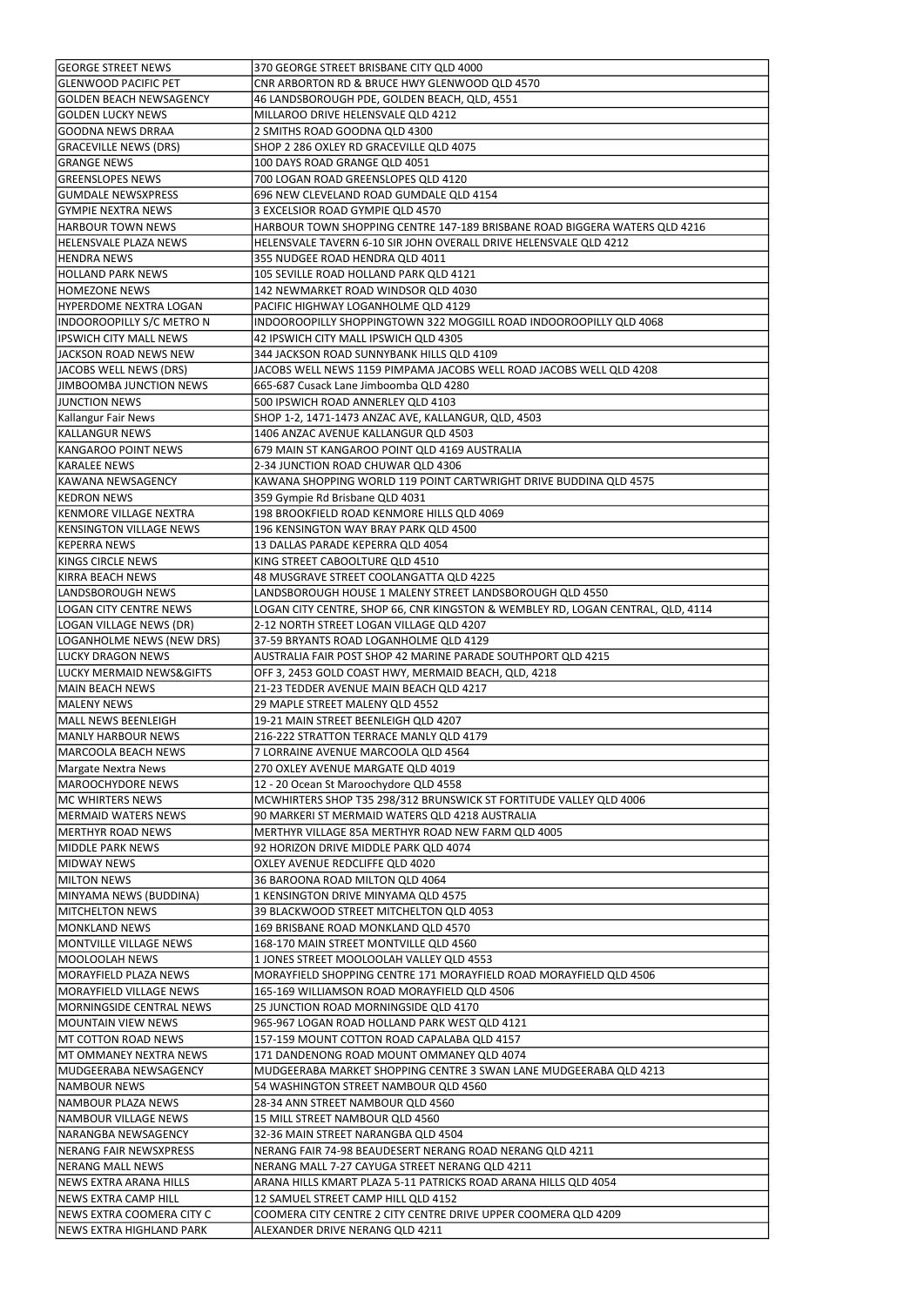| <b>GEORGE STREET NEWS</b>                                    | 370 GEORGE STREET BRISBANE CITY QLD 4000                                                          |
|--------------------------------------------------------------|---------------------------------------------------------------------------------------------------|
| <b>GLENWOOD PACIFIC PET</b>                                  | CNR ARBORTON RD & BRUCE HWY GLENWOOD QLD 4570                                                     |
| <b>GOLDEN BEACH NEWSAGENCY</b>                               | 46 LANDSBOROUGH PDE, GOLDEN BEACH, QLD, 4551                                                      |
| <b>GOLDEN LUCKY NEWS</b>                                     | MILLAROO DRIVE HELENSVALE QLD 4212                                                                |
| <b>GOODNA NEWS DRRAA</b>                                     | 2 SMITHS ROAD GOODNA QLD 4300                                                                     |
| <b>GRACEVILLE NEWS (DRS)</b>                                 | SHOP 2 286 OXLEY RD GRACEVILLE QLD 4075                                                           |
|                                                              |                                                                                                   |
| <b>GRANGE NEWS</b>                                           | 100 DAYS ROAD GRANGE QLD 4051                                                                     |
| <b>GREENSLOPES NEWS</b>                                      | 700 LOGAN ROAD GREENSLOPES QLD 4120                                                               |
| <b>GUMDALE NEWSXPRESS</b>                                    | 696 NEW CLEVELAND ROAD GUMDALE QLD 4154                                                           |
| <b>GYMPIE NEXTRA NEWS</b>                                    | 3 EXCELSIOR ROAD GYMPIE QLD 4570                                                                  |
| <b>HARBOUR TOWN NEWS</b>                                     | HARBOUR TOWN SHOPPING CENTRE 147-189 BRISBANE ROAD BIGGERA WATERS QLD 4216                        |
|                                                              |                                                                                                   |
| <b>HELENSVALE PLAZA NEWS</b>                                 | HELENSVALE TAVERN 6-10 SIR JOHN OVERALL DRIVE HELENSVALE QLD 4212                                 |
| <b>HENDRA NEWS</b>                                           | 355 NUDGEE ROAD HENDRA QLD 4011                                                                   |
| <b>HOLLAND PARK NEWS</b>                                     | 105 SEVILLE ROAD HOLLAND PARK QLD 4121                                                            |
| <b>HOMEZONE NEWS</b>                                         | 142 NEWMARKET ROAD WINDSOR QLD 4030                                                               |
| <b>HYPERDOME NEXTRA LOGAN</b>                                | PACIFIC HIGHWAY LOGANHOLME QLD 4129                                                               |
|                                                              |                                                                                                   |
| INDOOROOPILLY S/C METRO N                                    | INDOOROOPILLY SHOPPINGTOWN 322 MOGGILL ROAD INDOOROOPILLY QLD 4068                                |
| <b>IPSWICH CITY MALL NEWS</b>                                | 42 IPSWICH CITY MALL IPSWICH QLD 4305                                                             |
| JACKSON ROAD NEWS NEW                                        | 344 JACKSON ROAD SUNNYBANK HILLS QLD 4109                                                         |
| JACOBS WELL NEWS (DRS)                                       | JACOBS WELL NEWS 1159 PIMPAMA JACOBS WELL ROAD JACOBS WELL QLD 4208                               |
| JIMBOOMBA JUNCTION NEWS                                      | 665-687 Cusack Lane Jimboomba QLD 4280                                                            |
|                                                              |                                                                                                   |
| <b>JUNCTION NEWS</b>                                         | 500 IPSWICH ROAD ANNERLEY QLD 4103                                                                |
| Kallangur Fair News                                          | SHOP 1-2, 1471-1473 ANZAC AVE, KALLANGUR, QLD, 4503                                               |
| <b>KALLANGUR NEWS</b>                                        | 1406 ANZAC AVENUE KALLANGUR QLD 4503                                                              |
| <b>KANGAROO POINT NEWS</b>                                   | 679 MAIN ST KANGAROO POINT QLD 4169 AUSTRALIA                                                     |
| <b>KARALEE NEWS</b>                                          | 2-34 JUNCTION ROAD CHUWAR QLD 4306                                                                |
|                                                              |                                                                                                   |
| <b>KAWANA NEWSAGENCY</b>                                     | KAWANA SHOPPING WORLD 119 POINT CARTWRIGHT DRIVE BUDDINA QLD 4575                                 |
| <b>KEDRON NEWS</b>                                           | 359 Gympie Rd Brisbane QLD 4031                                                                   |
| KENMORE VILLAGE NEXTRA                                       | 198 BROOKFIELD ROAD KENMORE HILLS QLD 4069                                                        |
| <b>KENSINGTON VILLAGE NEWS</b>                               | 196 KENSINGTON WAY BRAY PARK QLD 4500                                                             |
| <b>KEPERRA NEWS</b>                                          | 13 DALLAS PARADE KEPERRA QLD 4054                                                                 |
|                                                              |                                                                                                   |
| <b>KINGS CIRCLE NEWS</b>                                     | KING STREET CABOOLTURE QLD 4510                                                                   |
| KIRRA BEACH NEWS                                             | 48 MUSGRAVE STREET COOLANGATTA QLD 4225                                                           |
| LANDSBOROUGH NEWS                                            | LANDSBOROUGH HOUSE 1 MALENY STREET LANDSBOROUGH QLD 4550                                          |
| <b>LOGAN CITY CENTRE NEWS</b>                                | LOGAN CITY CENTRE, SHOP 66, CNR KINGSTON & WEMBLEY RD, LOGAN CENTRAL, QLD, 4114                   |
| LOGAN VILLAGE NEWS (DR)                                      | 2-12 NORTH STREET LOGAN VILLAGE QLD 4207                                                          |
|                                                              |                                                                                                   |
| LOGANHOLME NEWS (NEW DRS)                                    | 37-59 BRYANTS ROAD LOGANHOLME QLD 4129                                                            |
| <b>LUCKY DRAGON NEWS</b>                                     | AUSTRALIA FAIR POST SHOP 42 MARINE PARADE SOUTHPORT QLD 4215                                      |
|                                                              |                                                                                                   |
| <b>LUCKY MERMAID NEWS&amp;GIFTS</b>                          | OFF 3, 2453 GOLD COAST HWY, MERMAID BEACH, QLD, 4218                                              |
|                                                              |                                                                                                   |
| <b>MAIN BEACH NEWS</b>                                       | 21-23 TEDDER AVENUE MAIN BEACH QLD 4217                                                           |
| <b>MALENY NEWS</b>                                           | 29 MAPLE STREET MALENY QLD 4552                                                                   |
| <b>MALL NEWS BEENLEIGH</b>                                   | 19-21 MAIN STREET BEENLEIGH QLD 4207                                                              |
| <b>MANLY HARBOUR NEWS</b>                                    | 216-222 STRATTON TERRACE MANLY QLD 4179                                                           |
| <b>MARCOOLA BEACH NEWS</b>                                   | 7 LORRAINE AVENUE MARCOOLA QLD 4564                                                               |
|                                                              |                                                                                                   |
| <b>Margate Nextra News</b>                                   | 270 OXLEY AVENUE MARGATE QLD 4019                                                                 |
| <b>MAROOCHYDORE NEWS</b>                                     | 12 - 20 Ocean St Maroochydore QLD 4558                                                            |
| <b>MC WHIRTERS NEWS</b>                                      | MCWHIRTERS SHOP T35 298/312 BRUNSWICK ST FORTITUDE VALLEY QLD 4006                                |
| <b>MERMAID WATERS NEWS</b>                                   | 90 MARKERI ST MERMAID WATERS QLD 4218 AUSTRALIA                                                   |
| <b>MERTHYR ROAD NEWS</b>                                     | MERTHYR VILLAGE 85A MERTHYR ROAD NEW FARM QLD 4005                                                |
|                                                              |                                                                                                   |
| <b>MIDDLE PARK NEWS</b>                                      | 92 HORIZON DRIVE MIDDLE PARK QLD 4074                                                             |
| <b>MIDWAY NEWS</b>                                           | OXLEY AVENUE REDCLIFFE QLD 4020                                                                   |
| <b>MILTON NEWS</b>                                           | 36 BAROONA ROAD MILTON QLD 4064                                                                   |
| MINYAMA NEWS (BUDDINA)                                       | 1 KENSINGTON DRIVE MINYAMA QLD 4575                                                               |
| <b>MITCHELTON NEWS</b>                                       | 39 BLACKWOOD STREET MITCHELTON QLD 4053                                                           |
|                                                              |                                                                                                   |
| <b>MONKLAND NEWS</b>                                         | 169 BRISBANE ROAD MONKLAND QLD 4570                                                               |
| MONTVILLE VILLAGE NEWS                                       | 168-170 MAIN STREET MONTVILLE QLD 4560                                                            |
| <b>MOOLOOLAH NEWS</b>                                        | 1 JONES STREET MOOLOOLAH VALLEY QLD 4553                                                          |
| MORAYFIELD PLAZA NEWS                                        | MORAYFIELD SHOPPING CENTRE 171 MORAYFIELD ROAD MORAYFIELD QLD 4506                                |
| MORAYFIELD VILLAGE NEWS                                      | 165-169 WILLIAMSON ROAD MORAYFIELD QLD 4506                                                       |
| MORNINGSIDE CENTRAL NEWS                                     | 25 JUNCTION ROAD MORNINGSIDE QLD 4170                                                             |
|                                                              |                                                                                                   |
| <b>MOUNTAIN VIEW NEWS</b>                                    | 965-967 LOGAN ROAD HOLLAND PARK WEST QLD 4121                                                     |
| <b>MT COTTON ROAD NEWS</b>                                   | 157-159 MOUNT COTTON ROAD CAPALABA QLD 4157                                                       |
| <b>MT OMMANEY NEXTRA NEWS</b>                                | 171 DANDENONG ROAD MOUNT OMMANEY QLD 4074                                                         |
| MUDGEERABA NEWSAGENCY                                        | MUDGEERABA MARKET SHOPPING CENTRE 3 SWAN LANE MUDGEERABA QLD 4213                                 |
| <b>NAMBOUR NEWS</b>                                          | 54 WASHINGTON STREET NAMBOUR QLD 4560                                                             |
|                                                              |                                                                                                   |
| NAMBOUR PLAZA NEWS                                           | 28-34 ANN STREET NAMBOUR QLD 4560                                                                 |
| <b>NAMBOUR VILLAGE NEWS</b>                                  | 15 MILL STREET NAMBOUR QLD 4560                                                                   |
| NARANGBA NEWSAGENCY                                          | 32-36 MAIN STREET NARANGBA QLD 4504                                                               |
| <b>NERANG FAIR NEWSXPRESS</b>                                | NERANG FAIR 74-98 BEAUDESERT NERANG ROAD NERANG QLD 4211                                          |
| <b>NERANG MALL NEWS</b>                                      | NERANG MALL 7-27 CAYUGA STREET NERANG QLD 4211                                                    |
| NEWS EXTRA ARANA HILLS                                       |                                                                                                   |
|                                                              | ARANA HILLS KMART PLAZA 5-11 PATRICKS ROAD ARANA HILLS QLD 4054                                   |
| <b>NEWS EXTRA CAMP HILL</b>                                  | 12 SAMUEL STREET CAMP HILL QLD 4152                                                               |
| NEWS EXTRA COOMERA CITY C<br><b>NEWS EXTRA HIGHLAND PARK</b> | COOMERA CITY CENTRE 2 CITY CENTRE DRIVE UPPER COOMERA QLD 4209<br>ALEXANDER DRIVE NERANG QLD 4211 |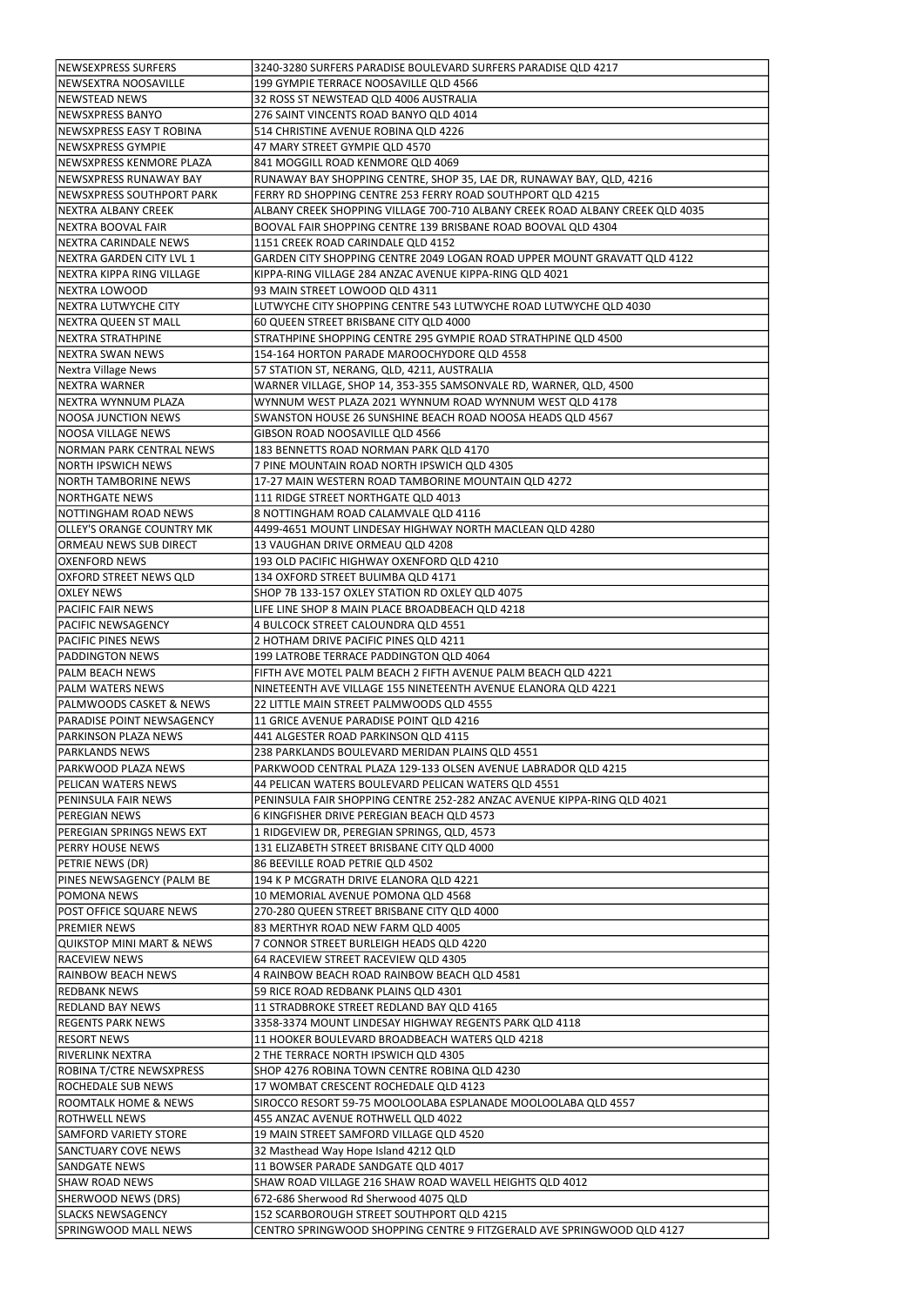| <b>NEWSEXPRESS SURFERS</b>           | 3240-3280 SURFERS PARADISE BOULEVARD SURFERS PARADISE QLD 4217                |
|--------------------------------------|-------------------------------------------------------------------------------|
|                                      |                                                                               |
| NEWSEXTRA NOOSAVILLE                 | 199 GYMPIE TERRACE NOOSAVILLE QLD 4566                                        |
| <b>NEWSTEAD NEWS</b>                 | 32 ROSS ST NEWSTEAD QLD 4006 AUSTRALIA                                        |
| NEWSXPRESS BANYO                     | 276 SAINT VINCENTS ROAD BANYO QLD 4014                                        |
| NEWSXPRESS EASY T ROBINA             | 514 CHRISTINE AVENUE ROBINA QLD 4226                                          |
| NEWSXPRESS GYMPIE                    | 47 MARY STREET GYMPIE QLD 4570                                                |
| NEWSXPRESS KENMORE PLAZA             | 841 MOGGILL ROAD KENMORE QLD 4069                                             |
| NEWSXPRESS RUNAWAY BAY               |                                                                               |
|                                      | RUNAWAY BAY SHOPPING CENTRE, SHOP 35, LAE DR, RUNAWAY BAY, QLD, 4216          |
| NEWSXPRESS SOUTHPORT PARK            | FERRY RD SHOPPING CENTRE 253 FERRY ROAD SOUTHPORT QLD 4215                    |
| NEXTRA ALBANY CREEK                  | ALBANY CREEK SHOPPING VILLAGE 700-710 ALBANY CREEK ROAD ALBANY CREEK QLD 4035 |
| NEXTRA BOOVAL FAIR                   | BOOVAL FAIR SHOPPING CENTRE 139 BRISBANE ROAD BOOVAL QLD 4304                 |
| <b>NEXTRA CARINDALE NEWS</b>         | 1151 CREEK ROAD CARINDALE QLD 4152                                            |
| NEXTRA GARDEN CITY LVL 1             | GARDEN CITY SHOPPING CENTRE 2049 LOGAN ROAD UPPER MOUNT GRAVATT QLD 4122      |
| NEXTRA KIPPA RING VILLAGE            | KIPPA-RING VILLAGE 284 ANZAC AVENUE KIPPA-RING QLD 4021                       |
| <b>NEXTRA LOWOOD</b>                 | 93 MAIN STREET LOWOOD QLD 4311                                                |
|                                      |                                                                               |
| <b>NEXTRA LUTWYCHE CITY</b>          | LUTWYCHE CITY SHOPPING CENTRE 543 LUTWYCHE ROAD LUTWYCHE QLD 4030             |
| NEXTRA QUEEN ST MALL                 | 60 QUEEN STREET BRISBANE CITY QLD 4000                                        |
| <b>NEXTRA STRATHPINE</b>             | STRATHPINE SHOPPING CENTRE 295 GYMPIE ROAD STRATHPINE QLD 4500                |
| <b>NEXTRA SWAN NEWS</b>              | 154-164 HORTON PARADE MAROOCHYDORE QLD 4558                                   |
| <b>Nextra Village News</b>           | 57 STATION ST, NERANG, QLD, 4211, AUSTRALIA                                   |
| <b>NEXTRA WARNER</b>                 | WARNER VILLAGE, SHOP 14, 353-355 SAMSONVALE RD, WARNER, QLD, 4500             |
| NEXTRA WYNNUM PLAZA                  | WYNNUM WEST PLAZA 2021 WYNNUM ROAD WYNNUM WEST QLD 4178                       |
|                                      |                                                                               |
| <b>NOOSA JUNCTION NEWS</b>           | SWANSTON HOUSE 26 SUNSHINE BEACH ROAD NOOSA HEADS QLD 4567                    |
| NOOSA VILLAGE NEWS                   | GIBSON ROAD NOOSAVILLE QLD 4566                                               |
| <b>NORMAN PARK CENTRAL NEWS</b>      | 183 BENNETTS ROAD NORMAN PARK QLD 4170                                        |
| <b>NORTH IPSWICH NEWS</b>            | 7 PINE MOUNTAIN ROAD NORTH IPSWICH QLD 4305                                   |
| <b>NORTH TAMBORINE NEWS</b>          | 17-27 MAIN WESTERN ROAD TAMBORINE MOUNTAIN QLD 4272                           |
| <b>NORTHGATE NEWS</b>                | 111 RIDGE STREET NORTHGATE QLD 4013                                           |
| NOTTINGHAM ROAD NEWS                 | 8 NOTTINGHAM ROAD CALAMVALE QLD 4116                                          |
|                                      |                                                                               |
| <b>OLLEY'S ORANGE COUNTRY MK</b>     | 4499-4651 MOUNT LINDESAY HIGHWAY NORTH MACLEAN QLD 4280                       |
| ORMEAU NEWS SUB DIRECT               | 13 VAUGHAN DRIVE ORMEAU QLD 4208                                              |
| <b>OXENFORD NEWS</b>                 | 193 OLD PACIFIC HIGHWAY OXENFORD QLD 4210                                     |
| OXFORD STREET NEWS QLD               | 134 OXFORD STREET BULIMBA QLD 4171                                            |
| <b>OXLEY NEWS</b>                    | SHOP 7B 133-157 OXLEY STATION RD OXLEY QLD 4075                               |
| <b>PACIFIC FAIR NEWS</b>             | LIFE LINE SHOP 8 MAIN PLACE BROADBEACH QLD 4218                               |
| PACIFIC NEWSAGENCY                   | 4 BULCOCK STREET CALOUNDRA QLD 4551                                           |
| PACIFIC PINES NEWS                   | 2 HOTHAM DRIVE PACIFIC PINES QLD 4211                                         |
|                                      |                                                                               |
| PADDINGTON NEWS                      | 199 LATROBE TERRACE PADDINGTON QLD 4064                                       |
| PALM BEACH NEWS                      | FIFTH AVE MOTEL PALM BEACH 2 FIFTH AVENUE PALM BEACH QLD 4221                 |
| PALM WATERS NEWS                     | NINETEENTH AVE VILLAGE 155 NINETEENTH AVENUE ELANORA QLD 4221                 |
| PALMWOODS CASKET & NEWS              | 22 LITTLE MAIN STREET PALMWOODS QLD 4555                                      |
| PARADISE POINT NEWSAGENCY            | 11 GRICE AVENUE PARADISE POINT QLD 4216                                       |
| PARKINSON PLAZA NEWS                 | 441 ALGESTER ROAD PARKINSON QLD 4115                                          |
| <b>PARKLANDS NEWS</b>                | 238 PARKLANDS BOULEVARD MERIDAN PLAINS QLD 4551                               |
|                                      |                                                                               |
| PARKWOOD PLAZA NEWS                  | PARKWOOD CENTRAL PLAZA 129-133 OLSEN AVENUE LABRADOR QLD 4215                 |
| PELICAN WATERS NEWS                  | 44 PELICAN WATERS BOULEVARD PELICAN WATERS QLD 4551                           |
| PENINSULA FAIR NEWS                  | PENINSULA FAIR SHOPPING CENTRE 252-282 ANZAC AVENUE KIPPA-RING QLD 4021       |
| PEREGIAN NEWS                        | 6 KINGFISHER DRIVE PEREGIAN BEACH QLD 4573                                    |
| PEREGIAN SPRINGS NEWS EXT            | 1 RIDGEVIEW DR, PEREGIAN SPRINGS, QLD, 4573                                   |
| <b>PERRY HOUSE NEWS</b>              | 131 ELIZABETH STREET BRISBANE CITY QLD 4000                                   |
| PETRIE NEWS (DR)                     | 86 BEEVILLE ROAD PETRIE QLD 4502                                              |
| PINES NEWSAGENCY (PALM BE            | 194 K P MCGRATH DRIVE ELANORA QLD 4221                                        |
|                                      |                                                                               |
| POMONA NEWS                          | 10 MEMORIAL AVENUE POMONA QLD 4568                                            |
| POST OFFICE SQUARE NEWS              | 270-280 QUEEN STREET BRISBANE CITY QLD 4000                                   |
| PREMIER NEWS                         | 83 MERTHYR ROAD NEW FARM QLD 4005                                             |
| <b>QUIKSTOP MINI MART &amp; NEWS</b> | 7 CONNOR STREET BURLEIGH HEADS QLD 4220                                       |
| RACEVIEW NEWS                        | 64 RACEVIEW STREET RACEVIEW QLD 4305                                          |
| <b>RAINBOW BEACH NEWS</b>            | 4 RAINBOW BEACH ROAD RAINBOW BEACH QLD 4581                                   |
| <b>REDBANK NEWS</b>                  | 59 RICE ROAD REDBANK PLAINS QLD 4301                                          |
| <b>REDLAND BAY NEWS</b>              | 11 STRADBROKE STREET REDLAND BAY QLD 4165                                     |
|                                      |                                                                               |
| <b>REGENTS PARK NEWS</b>             | 3358-3374 MOUNT LINDESAY HIGHWAY REGENTS PARK QLD 4118                        |
| <b>RESORT NEWS</b>                   | 11 HOOKER BOULEVARD BROADBEACH WATERS QLD 4218                                |
| IRIVERLINK NEXTRA                    | 2 THE TERRACE NORTH IPSWICH QLD 4305                                          |
| ROBINA T/CTRE NEWSXPRESS             | SHOP 4276 ROBINA TOWN CENTRE ROBINA QLD 4230                                  |
| ROCHEDALE SUB NEWS                   | 17 WOMBAT CRESCENT ROCHEDALE QLD 4123                                         |
| ROOMTALK HOME & NEWS                 | SIROCCO RESORT 59-75 MOOLOOLABA ESPLANADE MOOLOOLABA QLD 4557                 |
| ROTHWELL NEWS                        | 455 ANZAC AVENUE ROTHWELL QLD 4022                                            |
| <b>SAMFORD VARIETY STORE</b>         | 19 MAIN STREET SAMFORD VILLAGE QLD 4520                                       |
|                                      |                                                                               |
| SANCTUARY COVE NEWS                  | 32 Masthead Way Hope Island 4212 QLD                                          |
| SANDGATE NEWS                        | 11 BOWSER PARADE SANDGATE QLD 4017                                            |
| <b>SHAW ROAD NEWS</b>                |                                                                               |
|                                      | SHAW ROAD VILLAGE 216 SHAW ROAD WAVELL HEIGHTS QLD 4012                       |
| <b>SHERWOOD NEWS (DRS)</b>           | 672-686 Sherwood Rd Sherwood 4075 QLD                                         |
| <b>SLACKS NEWSAGENCY</b>             | 152 SCARBOROUGH STREET SOUTHPORT QLD 4215                                     |